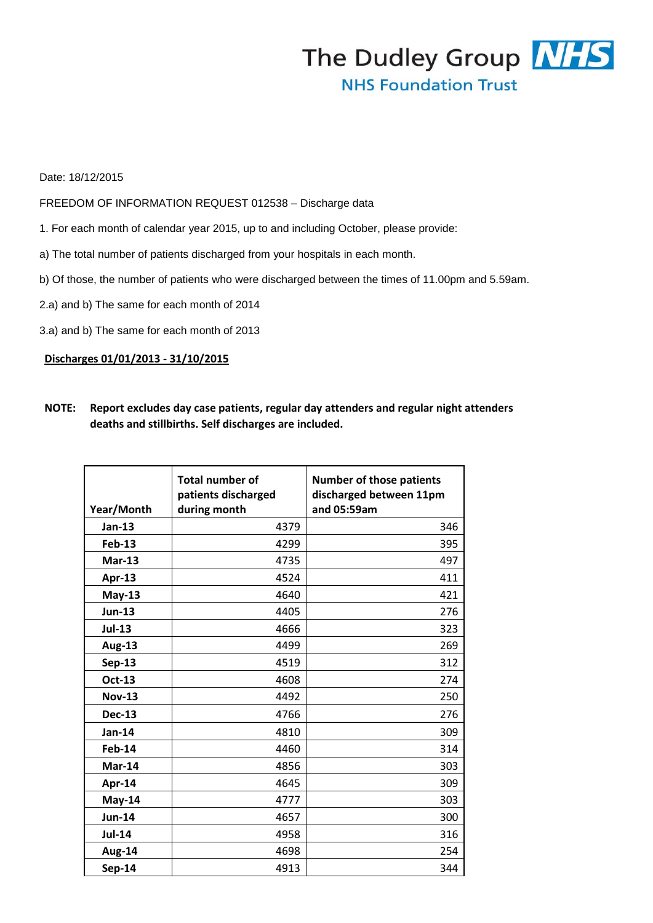## The Dudley Group NHS **NHS Foundation Trust**

## Date: 18/12/2015

FREEDOM OF INFORMATION REQUEST 012538 – Discharge data

- 1. For each month of calendar year 2015, up to and including October, please provide:
- a) The total number of patients discharged from your hospitals in each month.
- b) Of those, the number of patients who were discharged between the times of 11.00pm and 5.59am.
- 2.a) and b) The same for each month of 2014
- 3.a) and b) The same for each month of 2013

## **Discharges 01/01/2013 - 31/10/2015**

| <b>NOTE:</b> | Report excludes day case patients, regular day attenders and regular night attenders |
|--------------|--------------------------------------------------------------------------------------|
|              | deaths and stillbirths. Self discharges are included.                                |

|               | <b>Total number of</b><br>patients discharged | <b>Number of those patients</b><br>discharged between 11pm |
|---------------|-----------------------------------------------|------------------------------------------------------------|
| Year/Month    | during month                                  | and 05:59am                                                |
| Jan-13        | 4379                                          | 346                                                        |
| <b>Feb-13</b> | 4299                                          | 395                                                        |
| <b>Mar-13</b> | 4735                                          | 497                                                        |
| Apr-13        | 4524                                          | 411                                                        |
| $May-13$      | 4640                                          | 421                                                        |
| <b>Jun-13</b> | 4405                                          | 276                                                        |
| <b>Jul-13</b> | 4666                                          | 323                                                        |
| <b>Aug-13</b> | 4499                                          | 269                                                        |
| <b>Sep-13</b> | 4519                                          | 312                                                        |
| Oct-13        | 4608                                          | 274                                                        |
| <b>Nov-13</b> | 4492                                          | 250                                                        |
| <b>Dec-13</b> | 4766                                          | 276                                                        |
| Jan-14        | 4810                                          | 309                                                        |
| Feb-14        | 4460                                          | 314                                                        |
| Mar-14        | 4856                                          | 303                                                        |
| Apr-14        | 4645                                          | 309                                                        |
| May-14        | 4777                                          | 303                                                        |
| <b>Jun-14</b> | 4657                                          | 300                                                        |
| <b>Jul-14</b> | 4958                                          | 316                                                        |
| Aug-14        | 4698                                          | 254                                                        |
| $Sep-14$      | 4913                                          | 344                                                        |